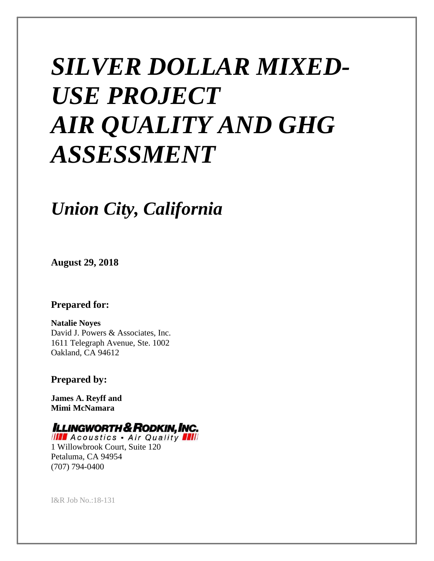# *SILVER DOLLAR MIXED-USE PROJECT AIR QUALITY AND GHG ASSESSMENT*

## *Union City, California*

**August 29, 2018**

#### **Prepared for:**

**Natalie Noyes**  David J. Powers & Associates, Inc. 1611 Telegraph Avenue, Ste. 1002 Oakland, CA 94612

**Prepared by:**

**James A. Reyff and Mimi McNamara**

### **ILLINGWORTH & RODKIN, INC.**

**IIII** Acoustics . Air Quality **AII** 1 Willowbrook Court, Suite 120 Petaluma, CA 94954 (707) 794-0400

I&R Job No.:18-131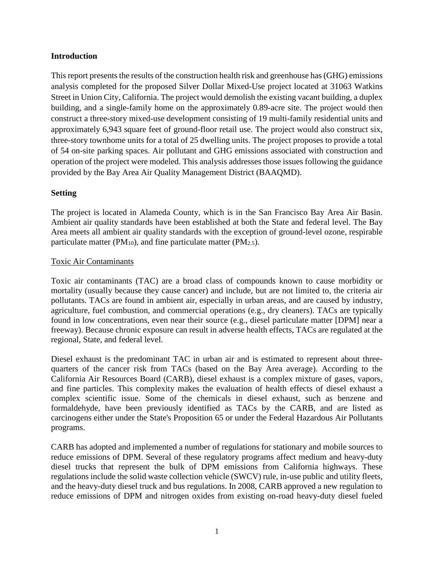#### **Introduction**

This report presents the results of the construction health risk and greenhouse has (GHG) emissions analysis completed for the proposed Silver Dollar Mixed-Use project located at 31063 Watkins Street in Union City, California. The project would demolish the existing vacant building, a duplex building, and a single-family home on the approximately 0.89-acre site. The project would then construct a three-story mixed-use development consisting of 19 multi-family residential units and approximately 6,943 square feet of ground-floor retail use. The project would also construct six, three-story townhome units for a total of 25 dwelling units. The project proposes to provide a total of 54 on-site parking spaces. Air pollutant and GHG emissions associated with construction and operation of the project were modeled. This analysis addresses those issues following the guidance provided by the Bay Area Air Quality Management District (BAAQMD).

#### **Setting**

The project is located in Alameda County, which is in the San Francisco Bay Area Air Basin. Ambient air quality standards have been established at both the State and federal level. The Bay Area meets all ambient air quality standards with the exception of ground-level ozone, respirable particulate matter ( $PM_{10}$ ), and fine particulate matter ( $PM_{2.5}$ ).

#### Toxic Air Contaminants

Toxic air contaminants (TAC) are a broad class of compounds known to cause morbidity or mortality (usually because they cause cancer) and include, but are not limited to, the criteria air pollutants. TACs are found in ambient air, especially in urban areas, and are caused by industry, agriculture, fuel combustion, and commercial operations (e.g., dry cleaners). TACs are typically found in low concentrations, even near their source (e.g., diesel particulate matter [DPM] near a freeway). Because chronic exposure can result in adverse health effects, TACs are regulated at the regional, State, and federal level.

Diesel exhaust is the predominant TAC in urban air and is estimated to represent about threequarters of the cancer risk from TACs (based on the Bay Area average). According to the California Air Resources Board (CARB), diesel exhaust is a complex mixture of gases, vapors, and fine particles. This complexity makes the evaluation of health effects of diesel exhaust a complex scientific issue. Some of the chemicals in diesel exhaust, such as benzene and formaldehyde, have been previously identified as TACs by the CARB, and are listed as carcinogens either under the State's Proposition 65 or under the Federal Hazardous Air Pollutants programs.

CARB has adopted and implemented a number of regulations for stationary and mobile sources to reduce emissions of DPM. Several of these regulatory programs affect medium and heavy-duty diesel trucks that represent the bulk of DPM emissions from California highways. These regulations include the solid waste collection vehicle (SWCV) rule, in-use public and utility fleets, and the heavy-duty diesel truck and bus regulations. In 2008, CARB approved a new regulation to reduce emissions of DPM and nitrogen oxides from existing on-road heavy-duty diesel fueled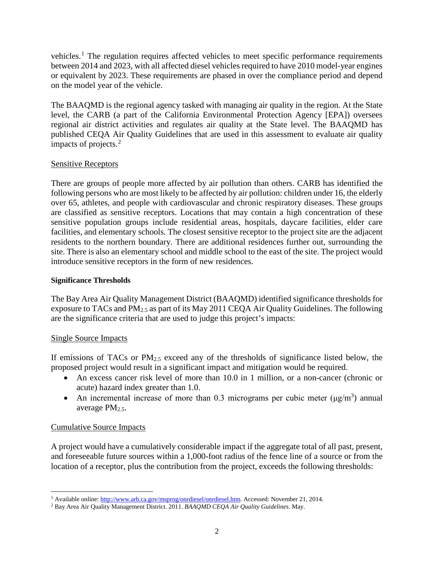vehicles.<sup>[1](#page-2-0)</sup> The regulation requires affected vehicles to meet specific performance requirements between 2014 and 2023, with all affected diesel vehicles required to have 2010 model-year engines or equivalent by 2023. These requirements are phased in over the compliance period and depend on the model year of the vehicle.

The BAAQMD is the regional agency tasked with managing air quality in the region. At the State level, the CARB (a part of the California Environmental Protection Agency [EPA]) oversees regional air district activities and regulates air quality at the State level. The BAAQMD has published CEQA Air Quality Guidelines that are used in this assessment to evaluate air quality impacts of projects.[2](#page-2-1)

#### Sensitive Receptors

There are groups of people more affected by air pollution than others. CARB has identified the following persons who are most likely to be affected by air pollution: children under 16, the elderly over 65, athletes, and people with cardiovascular and chronic respiratory diseases. These groups are classified as sensitive receptors. Locations that may contain a high concentration of these sensitive population groups include residential areas, hospitals, daycare facilities, elder care facilities, and elementary schools. The closest sensitive receptor to the project site are the adjacent residents to the northern boundary. There are additional residences further out, surrounding the site. There is also an elementary school and middle school to the east of the site. The project would introduce sensitive receptors in the form of new residences.

#### **Significance Thresholds**

The Bay Area Air Quality Management District (BAAQMD) identified significance thresholds for exposure to TACs and PM2.5 as part of its May 2011 CEQA Air Quality Guidelines. The following are the significance criteria that are used to judge this project's impacts:

#### Single Source Impacts

If emissions of TACs or  $PM_{2.5}$  exceed any of the thresholds of significance listed below, the proposed project would result in a significant impact and mitigation would be required.

- An excess cancer risk level of more than 10.0 in 1 million, or a non-cancer (chronic or acute) hazard index greater than 1.0.
- An incremental increase of more than 0.3 micrograms per cubic meter  $(\mu g/m^3)$  annual average  $PM_{2.5}$ .

#### Cumulative Source Impacts

A project would have a cumulatively considerable impact if the aggregate total of all past, present, and foreseeable future sources within a 1,000-foot radius of the fence line of a source or from the location of a receptor, plus the contribution from the project, exceeds the following thresholds:

<span id="page-2-0"></span><sup>1</sup> Available online[: http://www.arb.ca.gov/msprog/onrdiesel/onrdiesel.htm.](http://www.arb.ca.gov/msprog/onrdiesel/onrdiesel.htm) Accessed: November 21, 2014. 2 Bay Area Air Quality Management District. 2011. *BAAQMD CEQA Air Quality Guidelines*. May.

<span id="page-2-1"></span>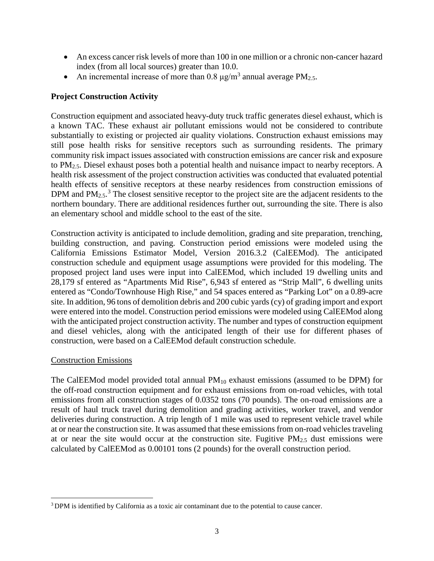- An excess cancer risk levels of more than 100 in one million or a chronic non-cancer hazard index (from all local sources) greater than 10.0.
- An incremental increase of more than 0.8  $\mu$ g/m<sup>3</sup> annual average PM<sub>2.5</sub>.

#### **Project Construction Activity**

Construction equipment and associated heavy-duty truck traffic generates diesel exhaust, which is a known TAC. These exhaust air pollutant emissions would not be considered to contribute substantially to existing or projected air quality violations. Construction exhaust emissions may still pose health risks for sensitive receptors such as surrounding residents. The primary community risk impact issues associated with construction emissions are cancer risk and exposure to PM2.5. Diesel exhaust poses both a potential health and nuisance impact to nearby receptors. A health risk assessment of the project construction activities was conducted that evaluated potential health effects of sensitive receptors at these nearby residences from construction emissions of DPM and  $PM_{2.5}$ .<sup>[3](#page-3-0)</sup> The closest sensitive receptor to the project site are the adjacent residents to the northern boundary. There are additional residences further out, surrounding the site. There is also an elementary school and middle school to the east of the site.

Construction activity is anticipated to include demolition, grading and site preparation, trenching, building construction, and paving. Construction period emissions were modeled using the California Emissions Estimator Model, Version 2016.3.2 (CalEEMod). The anticipated construction schedule and equipment usage assumptions were provided for this modeling. The proposed project land uses were input into CalEEMod, which included 19 dwelling units and 28,179 sf entered as "Apartments Mid Rise", 6,943 sf entered as "Strip Mall", 6 dwelling units entered as "Condo/Townhouse High Rise," and 54 spaces entered as "Parking Lot" on a 0.89-acre site. In addition, 96 tons of demolition debris and 200 cubic yards (cy) of grading import and export were entered into the model. Construction period emissions were modeled using CalEEMod along with the anticipated project construction activity. The number and types of construction equipment and diesel vehicles, along with the anticipated length of their use for different phases of construction, were based on a CalEEMod default construction schedule.

#### Construction Emissions

The CalEEMod model provided total annual  $PM_{10}$  exhaust emissions (assumed to be DPM) for the off-road construction equipment and for exhaust emissions from on-road vehicles, with total emissions from all construction stages of 0.0352 tons (70 pounds). The on-road emissions are a result of haul truck travel during demolition and grading activities, worker travel, and vendor deliveries during construction. A trip length of 1 mile was used to represent vehicle travel while at or near the construction site. It was assumed that these emissions from on-road vehicles traveling at or near the site would occur at the construction site. Fugitive  $PM_{2.5}$  dust emissions were calculated by CalEEMod as 0.00101 tons (2 pounds) for the overall construction period.

<span id="page-3-0"></span><sup>&</sup>lt;sup>3</sup> DPM is identified by California as a toxic air contaminant due to the potential to cause cancer.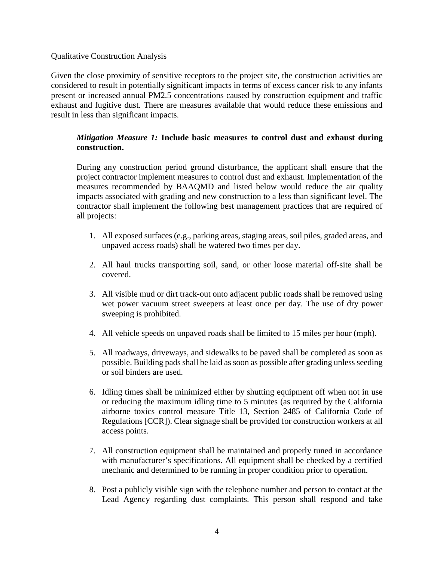#### Qualitative Construction Analysis

Given the close proximity of sensitive receptors to the project site, the construction activities are considered to result in potentially significant impacts in terms of excess cancer risk to any infants present or increased annual PM2.5 concentrations caused by construction equipment and traffic exhaust and fugitive dust. There are measures available that would reduce these emissions and result in less than significant impacts.

#### *Mitigation Measure 1:* **Include basic measures to control dust and exhaust during construction.**

During any construction period ground disturbance, the applicant shall ensure that the project contractor implement measures to control dust and exhaust. Implementation of the measures recommended by BAAQMD and listed below would reduce the air quality impacts associated with grading and new construction to a less than significant level. The contractor shall implement the following best management practices that are required of all projects:

- 1. All exposed surfaces (e.g., parking areas, staging areas, soil piles, graded areas, and unpaved access roads) shall be watered two times per day.
- 2. All haul trucks transporting soil, sand, or other loose material off-site shall be covered.
- 3. All visible mud or dirt track-out onto adjacent public roads shall be removed using wet power vacuum street sweepers at least once per day. The use of dry power sweeping is prohibited.
- 4. All vehicle speeds on unpaved roads shall be limited to 15 miles per hour (mph).
- 5. All roadways, driveways, and sidewalks to be paved shall be completed as soon as possible. Building pads shall be laid as soon as possible after grading unless seeding or soil binders are used.
- 6. Idling times shall be minimized either by shutting equipment off when not in use or reducing the maximum idling time to 5 minutes (as required by the California airborne toxics control measure Title 13, Section 2485 of California Code of Regulations [CCR]). Clear signage shall be provided for construction workers at all access points.
- 7. All construction equipment shall be maintained and properly tuned in accordance with manufacturer's specifications. All equipment shall be checked by a certified mechanic and determined to be running in proper condition prior to operation.
- 8. Post a publicly visible sign with the telephone number and person to contact at the Lead Agency regarding dust complaints. This person shall respond and take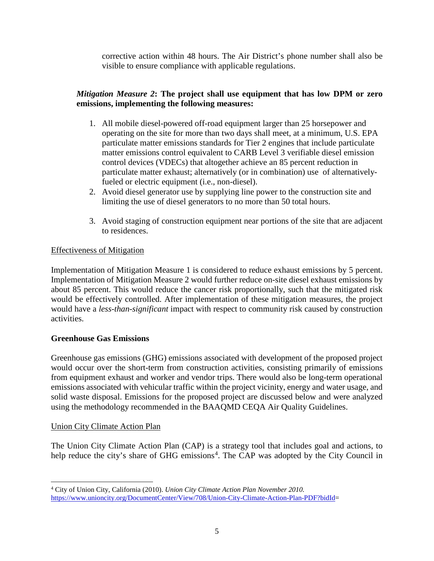corrective action within 48 hours. The Air District's phone number shall also be visible to ensure compliance with applicable regulations.

#### *Mitigation Measure 2***: The project shall use equipment that has low DPM or zero emissions, implementing the following measures:**

- 1. All mobile diesel-powered off-road equipment larger than 25 horsepower and operating on the site for more than two days shall meet, at a minimum, U.S. EPA particulate matter emissions standards for Tier 2 engines that include particulate matter emissions control equivalent to CARB Level 3 verifiable diesel emission control devices (VDECs) that altogether achieve an 85 percent reduction in particulate matter exhaust; alternatively (or in combination) use of alternativelyfueled or electric equipment (i.e., non-diesel).
- 2. Avoid diesel generator use by supplying line power to the construction site and limiting the use of diesel generators to no more than 50 total hours.
- 3. Avoid staging of construction equipment near portions of the site that are adjacent to residences.

#### Effectiveness of Mitigation

Implementation of Mitigation Measure 1 is considered to reduce exhaust emissions by 5 percent. Implementation of Mitigation Measure 2 would further reduce on-site diesel exhaust emissions by about 85 percent. This would reduce the cancer risk proportionally, such that the mitigated risk would be effectively controlled. After implementation of these mitigation measures, the project would have a *less-than-significant* impact with respect to community risk caused by construction activities.

#### **Greenhouse Gas Emissions**

Greenhouse gas emissions (GHG) emissions associated with development of the proposed project would occur over the short-term from construction activities, consisting primarily of emissions from equipment exhaust and worker and vendor trips. There would also be long-term operational emissions associated with vehicular traffic within the project vicinity, energy and water usage, and solid waste disposal. Emissions for the proposed project are discussed below and were analyzed using the methodology recommended in the BAAQMD CEQA Air Quality Guidelines.

#### Union City Climate Action Plan

The Union City Climate Action Plan (CAP) is a strategy tool that includes goal and actions, to help reduce the city's share of GHG emissions<sup>[4](#page-5-0)</sup>. The CAP was adopted by the City Council in

<span id="page-5-0"></span> <sup>4</sup> City of Union City, California (2010). *Union City Climate Action Plan November 2010.* [https://www.unioncity.org/DocumentCenter/View/708/Union-City-Climate-Action-Plan-PDF?bidId=](https://www.unioncity.org/DocumentCenter/View/708/Union-City-Climate-Action-Plan-PDF?bidId)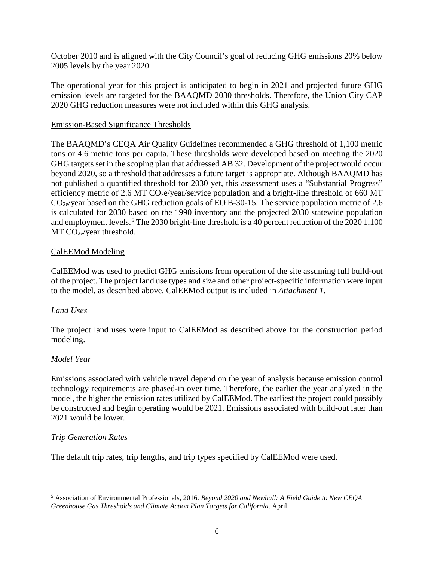October 2010 and is aligned with the City Council's goal of reducing GHG emissions 20% below 2005 levels by the year 2020.

The operational year for this project is anticipated to begin in 2021 and projected future GHG emission levels are targeted for the BAAQMD 2030 thresholds. Therefore, the Union City CAP 2020 GHG reduction measures were not included within this GHG analysis.

#### Emission-Based Significance Thresholds

The BAAQMD's CEQA Air Quality Guidelines recommended a GHG threshold of 1,100 metric tons or 4.6 metric tons per capita. These thresholds were developed based on meeting the 2020 GHG targets set in the scoping plan that addressed AB 32. Development of the project would occur beyond 2020, so a threshold that addresses a future target is appropriate. Although BAAQMD has not published a quantified threshold for 2030 yet, this assessment uses a "Substantial Progress" efficiency metric of 2.6 MT  $CO<sub>2</sub>e/year/servervice population and a bright-line threshold of 660 MT$  $CO_{2e}/year$  based on the GHG reduction goals of EO B-30-15. The service population metric of 2.6 is calculated for 2030 based on the 1990 inventory and the projected 2030 statewide population and employment levels.<sup>[5](#page-6-0)</sup> The 2030 bright-line threshold is a 40 percent reduction of the 2020 1,100  $MT CO<sub>2e</sub>/year$  threshold.

#### CalEEMod Modeling

CalEEMod was used to predict GHG emissions from operation of the site assuming full build-out of the project. The project land use types and size and other project-specific information were input to the model, as described above. CalEEMod output is included in *Attachment 1*.

#### *Land Uses*

The project land uses were input to CalEEMod as described above for the construction period modeling.

#### *Model Year*

Emissions associated with vehicle travel depend on the year of analysis because emission control technology requirements are phased-in over time. Therefore, the earlier the year analyzed in the model, the higher the emission rates utilized by CalEEMod. The earliest the project could possibly be constructed and begin operating would be 2021. Emissions associated with build-out later than 2021 would be lower.

#### *Trip Generation Rates*

The default trip rates, trip lengths, and trip types specified by CalEEMod were used.

<span id="page-6-0"></span> <sup>5</sup> Association of Environmental Professionals, 2016. *Beyond 2020 and Newhall: A Field Guide to New CEQA Greenhouse Gas Thresholds and Climate Action Plan Targets for California*. April.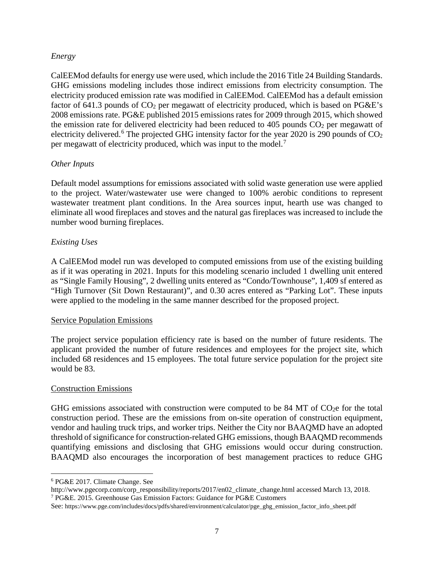#### *Energy*

CalEEMod defaults for energy use were used, which include the 2016 Title 24 Building Standards. GHG emissions modeling includes those indirect emissions from electricity consumption. The electricity produced emission rate was modified in CalEEMod. CalEEMod has a default emission factor of 641.3 pounds of CO<sub>2</sub> per megawatt of electricity produced, which is based on PG&E's 2008 emissions rate. PG&E published 2015 emissions rates for 2009 through 2015, which showed the emission rate for delivered electricity had been reduced to  $405$  pounds  $CO<sub>2</sub>$  per megawatt of electricity delivered.<sup>[6](#page-7-0)</sup> The projected GHG intensity factor for the year 2020 is 290 pounds of  $CO<sub>2</sub>$ per megawatt of electricity produced, which was input to the model.[7](#page-7-1)

#### *Other Inputs*

Default model assumptions for emissions associated with solid waste generation use were applied to the project. Water/wastewater use were changed to 100% aerobic conditions to represent wastewater treatment plant conditions. In the Area sources input, hearth use was changed to eliminate all wood fireplaces and stoves and the natural gas fireplaces was increased to include the number wood burning fireplaces.

#### *Existing Uses*

A CalEEMod model run was developed to computed emissions from use of the existing building as if it was operating in 2021. Inputs for this modeling scenario included 1 dwelling unit entered as "Single Family Housing", 2 dwelling units entered as "Condo/Townhouse", 1,409 sf entered as "High Turnover (Sit Down Restaurant)", and 0.30 acres entered as "Parking Lot". These inputs were applied to the modeling in the same manner described for the proposed project.

#### Service Population Emissions

The project service population efficiency rate is based on the number of future residents. The applicant provided the number of future residences and employees for the project site, which included 68 residences and 15 employees. The total future service population for the project site would be 83.

#### Construction Emissions

GHG emissions associated with construction were computed to be  $84$  MT of CO<sub>2</sub>e for the total construction period. These are the emissions from on-site operation of construction equipment, vendor and hauling truck trips, and worker trips. Neither the City nor BAAQMD have an adopted threshold of significance for construction-related GHG emissions, though BAAQMD recommends quantifying emissions and disclosing that GHG emissions would occur during construction. BAAQMD also encourages the incorporation of best management practices to reduce GHG

<span id="page-7-0"></span> <sup>6</sup> PG&E 2017. Climate Change. See

<span id="page-7-1"></span>http://www.pgecorp.com/corp\_responsibility/reports/2017/en02\_climate\_change.html accessed March 13, 2018. <sup>7</sup> PG&E. 2015. Greenhouse Gas Emission Factors: Guidance for PG&E Customers

See: https://www.pge.com/includes/docs/pdfs/shared/environment/calculator/pge\_ghg\_emission\_factor\_info\_sheet.pdf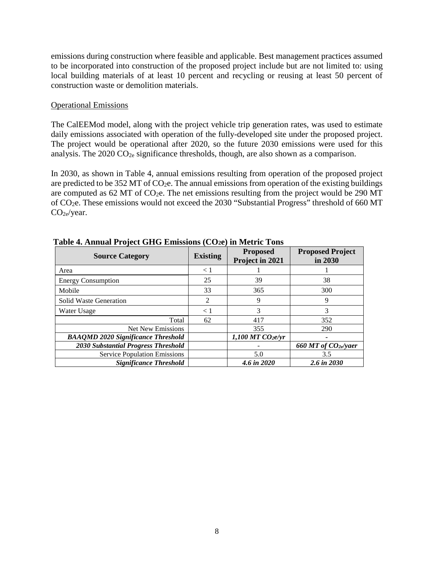emissions during construction where feasible and applicable. Best management practices assumed to be incorporated into construction of the proposed project include but are not limited to: using local building materials of at least 10 percent and recycling or reusing at least 50 percent of construction waste or demolition materials.

#### Operational Emissions

The CalEEMod model, along with the project vehicle trip generation rates, was used to estimate daily emissions associated with operation of the fully-developed site under the proposed project. The project would be operational after 2020, so the future 2030 emissions were used for this analysis. The  $2020 \text{ CO}_{2e}$  significance thresholds, though, are also shown as a comparison.

In 2030, as shown in Table 4, annual emissions resulting from operation of the proposed project are predicted to be  $352$  MT of  $CO<sub>2</sub>e$ . The annual emissions from operation of the existing buildings are computed as 62 MT of  $CO<sub>2</sub>e$ . The net emissions resulting from the project would be 290 MT of CO2e. These emissions would not exceed the 2030 "Substantial Progress" threshold of 660 MT CO2e/year.

| <b>Source Category</b>                     | <b>Existing</b> | <b>Proposed</b><br>Project in 2021 | <b>Proposed Project</b><br>in 2030 |
|--------------------------------------------|-----------------|------------------------------------|------------------------------------|
| Area                                       | $\leq 1$        |                                    |                                    |
| <b>Energy Consumption</b>                  | 25              | 39                                 | 38                                 |
| Mobile                                     | 33              | 365                                | 300                                |
| Solid Waste Generation                     | 2               | 9                                  | 9                                  |
| Water Usage                                | < 1             | 3                                  | 3                                  |
| Total                                      | 62              | 417                                | 352                                |
| Net New Emissions                          |                 | 355                                | 290                                |
| <b>BAAQMD 2020 Significance Threshold</b>  |                 | 1,100 MT $CO2e/yr$                 |                                    |
| <b>2030 Substantial Progress Threshold</b> |                 |                                    | 660 MT of CO <sub>2e</sub> /yaer   |
| <b>Service Population Emissions</b>        |                 | 5.0                                | 3.5                                |
| <b>Significance Threshold</b>              |                 | 4.6 in 2020                        | 2.6 in 2030                        |

**Table 4. Annual Project GHG Emissions (CO2e) in Metric Tons**